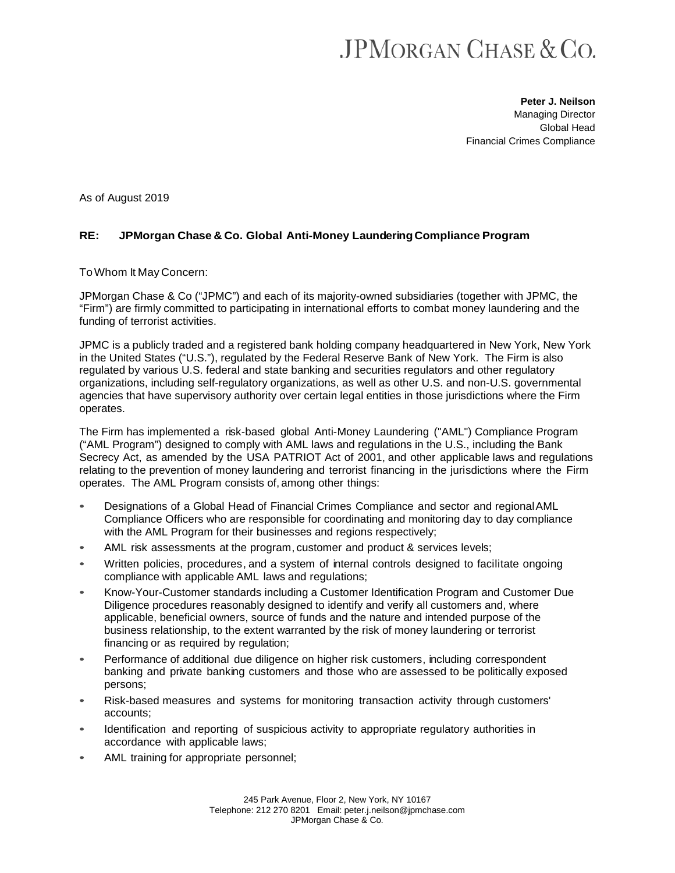## **JPMORGAN CHASE & CO.**

**Peter J. Neilson** Managing Director Global Head Financial Crimes Compliance

As of August 2019

## **RE: JPMorgan Chase & Co. Global Anti-Money LaunderingCompliance Program**

ToWhom It May Concern:

JPMorgan Chase & Co ("JPMC") and each of its majority-owned subsidiaries (together with JPMC, the "Firm") are firmly committed to participating in international efforts to combat money laundering and the funding of terrorist activities.

JPMC is a publicly traded and a registered bank holding company headquartered in New York, New York in the United States ("U.S."), regulated by the Federal Reserve Bank of New York. The Firm is also regulated by various U.S. federal and state banking and securities regulators and other regulatory organizations, including self-regulatory organizations, as well as other U.S. and non-U.S. governmental agencies that have supervisory authority over certain legal entities in those jurisdictions where the Firm operates.

The Firm has implemented a risk-based global Anti-Money Laundering ("AML") Compliance Program ("AML Program") designed to comply with AML laws and regulations in the U.S., including the Bank Secrecy Act, as amended by the USA PATRIOT Act of 2001, and other applicable laws and regulations relating to the prevention of money laundering and terrorist financing in the jurisdictions where the Firm operates. The AML Program consists of, among other things:

- Designations of a Global Head of Financial Crimes Compliance and sector and regionalAML Compliance Officers who are responsible for coordinating and monitoring day to day compliance with the AML Program for their businesses and regions respectively;
- AML risk assessments at the program, customer and product & services levels;
- Written policies, procedures, and a system of internal controls designed to facilitate ongoing compliance with applicable AML laws and regulations;
- Know-Your-Customer standards including a Customer Identification Program and Customer Due Diligence procedures reasonably designed to identify and verify all customers and, where applicable, beneficial owners, source of funds and the nature and intended purpose of the business relationship, to the extent warranted by the risk of money laundering or terrorist financing or as required by regulation;
- Performance of additional due diligence on higher risk customers, including correspondent banking and private banking customers and those who are assessed to be politically exposed persons;
- Risk-based measures and systems for monitoring transaction activity through customers' accounts;
- Identification and reporting of suspicious activity to appropriate regulatory authorities in accordance with applicable laws;
- AML training for appropriate personnel;